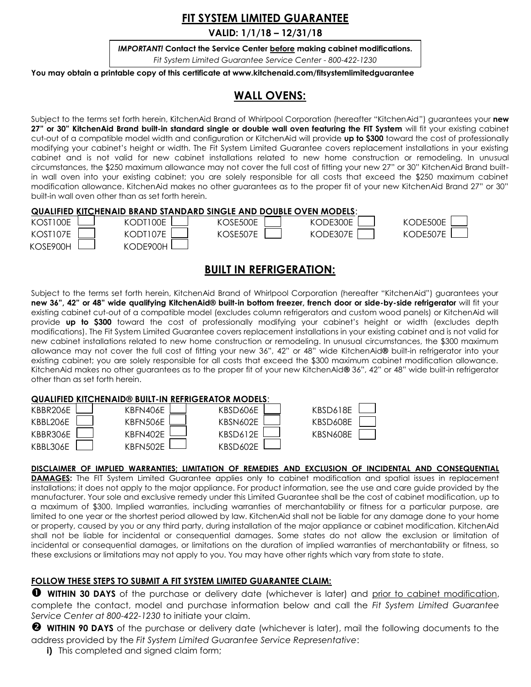# **FIT SYSTEM LIMITED GUARANTEE**

**VALID: 1/1/18 – 12/31/18**

*IMPORTANT!* **Contact the Service Center before making cabinet modifications.** *Fit System Limited Guarantee Service Center - 800-422-1230*

**You may obtain a printable copy of this certificate at www.kitchenaid.com/fitsystemlimitedguarantee .** 

## **WALL OVENS:**

Subject to the terms set forth herein, KitchenAid Brand of Whirlpool Corporation (hereafter "KitchenAid") guarantees your **new 27" or 30" KitchenAid Brand built-in standard single or double wall oven featuring the FIT System** will fit your existing cabinet cut-out of a compatible model width and configuration or KitchenAid will provide **up to \$300** toward the cost of professionally modifying your cabinet's height or width. The Fit System Limited Guarantee covers replacement installations in your existing cabinet and is not valid for new cabinet installations related to new home construction or remodeling. In unusual circumstances, the \$250 maximum allowance may not cover the full cost of fitting your new 27" or 30" KitchenAid Brand builtin wall oven into your existing cabinet; you are solely responsible for all costs that exceed the \$250 maximum cabinet modification allowance. KitchenAid makes no other guarantees as to the proper fit of your new KitchenAid Brand 27" or 30" built-in wall oven other than as set forth herein.

## **QUALIFIED KITCHENAID BRAND STANDARD SINGLE AND DOUBLE OVEN MODELS**:

| KOST100E | KODT100E | CSE500E  | KODE300E | KODE500E |
|----------|----------|----------|----------|----------|
| KOST107E | KODT107E | KOSE507E | KODE307E | KODE507E |
| KOSE900H | KODE900H |          |          |          |

## **BUILT IN REFRIGERATION:**

Subject to the terms set forth herein, KitchenAid Brand of Whirlpool Corporation (hereafter "KitchenAid") guarantees your **new 36", 42" or 48" wide qualifying KitchenAid® built-in bottom freezer, french door or side-by-side refrigerator** will fit your existing cabinet cut-out of a compatible model (excludes column refrigerators and custom wood panels) or KitchenAid will provide **up to \$300** toward the cost of professionally modifying your cabinet's height or width (excludes depth modifications). The Fit System Limited Guarantee covers replacement installations in your existing cabinet and is not valid for new cabinet installations related to new home construction or remodeling. In unusual circumstances, the \$300 maximum allowance may not cover the full cost of fitting your new 36", 42" or 48" wide KitchenAid**®** built-in refrigerator into your existing cabinet; you are solely responsible for all costs that exceed the \$300 maximum cabinet modification allowance. KitchenAid makes no other guarantees as to the proper fit of your new KitchenAid**®** 36", 42" or 48" wide built-in refrigerator other than as set forth herein.

### **QUALIFIED KITCHENAID® BUILT-IN REFRIGERATOR**

| KBBR206E  | $\mathbf{I}$ |
|-----------|--------------|
| KBBI 206F | $\mathbf{I}$ |
| KBBR306E  |              |
| KBBL306E  | L            |
|           |              |



| JK MUDELS. |  |
|------------|--|
| (BSD606E   |  |
| (BSN602E   |  |
| (BSD612E   |  |
| (BSD602E   |  |

| SD618E - |  |
|----------|--|
| SD608E   |  |
| SN608E   |  |
|          |  |

### **DISCLAIMER OF IMPLIED WARRANTIES; LIMITATION OF REMEDIES AND EXCLUSION OF INCIDENTAL AND CONSEQUENTIAL**

**DAMAGES:** The FIT System Limited Guarantee applies only to cabinet modification and spatial issues in replacement installations; it does not apply to the major appliance. For product information, see the use and care guide provided by the manufacturer. Your sole and exclusive remedy under this Limited Guarantee shall be the cost of cabinet modification, up to a maximum of \$300. Implied warranties, including warranties of merchantability or fitness for a particular purpose, are limited to one year or the shortest period allowed by law. KitchenAid shall not be liable for any damage done to your home or property, caused by you or any third party, during installation of the major appliance or cabinet modification. KitchenAid shall not be liable for incidental or consequential damages. Some states do not allow the exclusion or limitation of incidental or consequential damages, or limitations on the duration of implied warranties of merchantability or fitness, so these exclusions or limitations may not apply to you. You may have other rights which vary from state to state.

### **FOLLOW THESE STEPS TO SUBMIT A FIT SYSTEM LIMITED GUARANTEE CLAIM:**

**WITHIN 30 DAYS** of the purchase or delivery date (whichever is later) and prior to cabinet modification, complete the contact, model and purchase information below and call the *Fit System Limited Guarantee Service Center at 800-422-1230* to initiate your claim.

 **WITHIN 90 DAYS** of the purchase or delivery date (whichever is later), mail the following documents to the address provided by the *Fit System Limited Guarantee Service Representative*:

**i)** This completed and signed claim form;